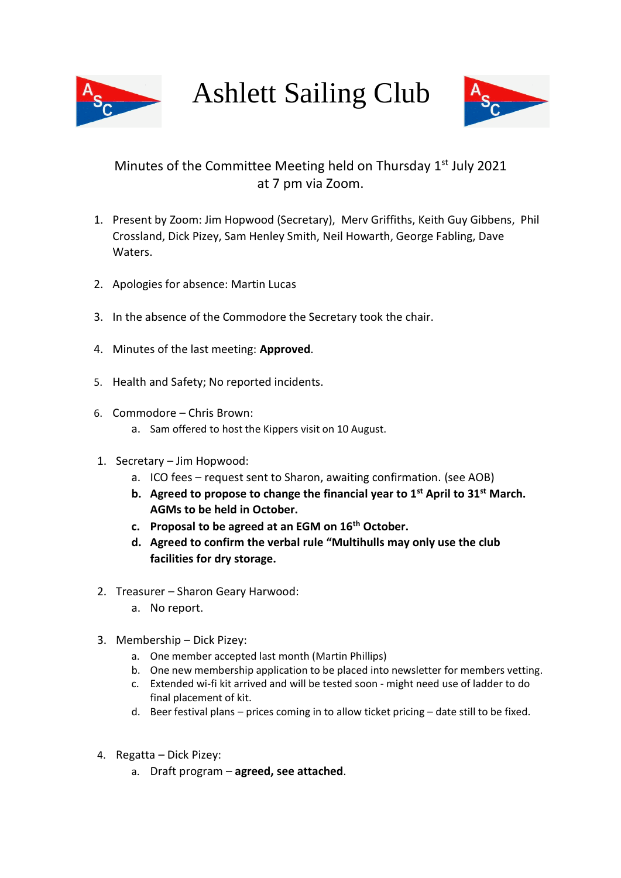

Ashlett Sailing Club



## Minutes of the Committee Meeting held on Thursday 1<sup>st</sup> July 2021 at 7 pm via Zoom.

- 1. Present by Zoom: Jim Hopwood (Secretary), Merv Griffiths, Keith Guy Gibbens, Phil Crossland, Dick Pizey, Sam Henley Smith, Neil Howarth, George Fabling, Dave Waters.
- 2. Apologies for absence: Martin Lucas
- 3. In the absence of the Commodore the Secretary took the chair.
- 4. Minutes of the last meeting: **Approved**.
- 5. Health and Safety; No reported incidents.
- 6. Commodore Chris Brown:
	- a. Sam offered to host the Kippers visit on 10 August.
- 1. Secretary Jim Hopwood:
	- a. ICO fees request sent to Sharon, awaiting confirmation. (see AOB)
	- **b. Agreed to propose to change the financial year to 1st April to 31st March. AGMs to be held in October.**
	- **c. Proposal to be agreed at an EGM on 16th October.**
	- **d. Agreed to confirm the verbal rule "Multihulls may only use the club facilities for dry storage.**
- 2. Treasurer Sharon Geary Harwood:
	- a. No report.
- 3. Membership Dick Pizey:
	- a. One member accepted last month (Martin Phillips)
	- b. One new membership application to be placed into newsletter for members vetting.
	- c. Extended wi-fi kit arrived and will be tested soon might need use of ladder to do final placement of kit.
	- d. Beer festival plans prices coming in to allow ticket pricing date still to be fixed.
- 4. Regatta Dick Pizey:
	- a. Draft program **agreed, see attached**.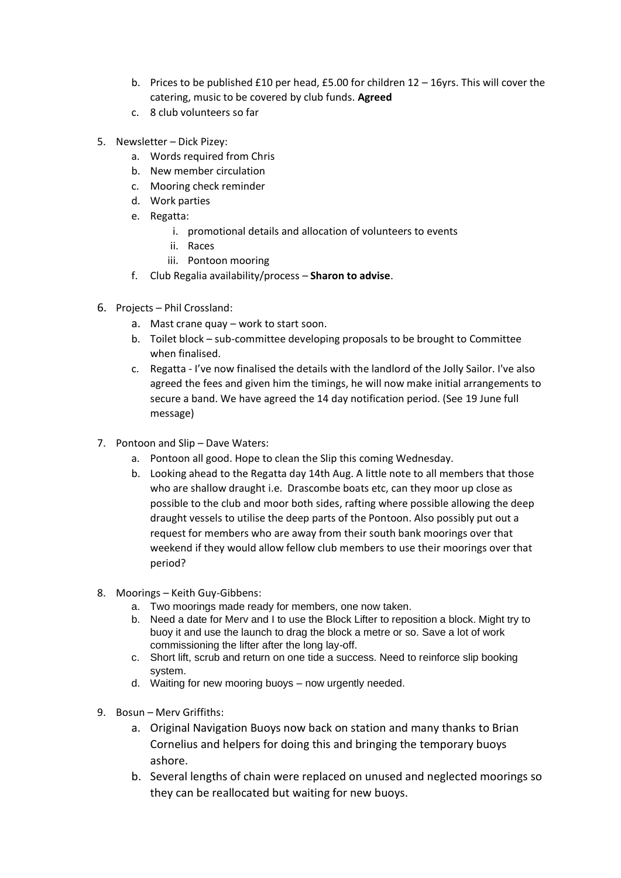- b. Prices to be published £10 per head, £5.00 for children 12 16yrs. This will cover the catering, music to be covered by club funds. **Agreed**
- c. 8 club volunteers so far
- 5. Newsletter Dick Pizey:
	- a. Words required from Chris
	- b. New member circulation
	- c. Mooring check reminder
	- d. Work parties
	- e. Regatta:
		- i. promotional details and allocation of volunteers to events
		- ii. Races
		- iii. Pontoon mooring
	- f. Club Regalia availability/process **Sharon to advise**.
- 6. Projects Phil Crossland:
	- a. Mast crane quay work to start soon.
	- b. Toilet block sub-committee developing proposals to be brought to Committee when finalised.
	- c. Regatta I've now finalised the details with the landlord of the Jolly Sailor. I've also agreed the fees and given him the timings, he will now make initial arrangements to secure a band. We have agreed the 14 day notification period. (See 19 June full message)
- 7. Pontoon and Slip Dave Waters:
	- a. Pontoon all good. Hope to clean the Slip this coming Wednesday.
	- b. Looking ahead to the Regatta day 14th Aug. A little note to all members that those who are shallow draught i.e. Drascombe boats etc, can they moor up close as possible to the club and moor both sides, rafting where possible allowing the deep draught vessels to utilise the deep parts of the Pontoon. Also possibly put out a request for members who are away from their south bank moorings over that weekend if they would allow fellow club members to use their moorings over that period?
- 8. Moorings Keith Guy-Gibbens:
	- a. Two moorings made ready for members, one now taken.
	- b. Need a date for Merv and I to use the Block Lifter to reposition a block. Might try to buoy it and use the launch to drag the block a metre or so. Save a lot of work commissioning the lifter after the long lay-off.
	- c. Short lift, scrub and return on one tide a success. Need to reinforce slip booking system.
	- d. Waiting for new mooring buoys now urgently needed.
- 9. Bosun Merv Griffiths:
	- a. Original Navigation Buoys now back on station and many thanks to Brian Cornelius and helpers for doing this and bringing the temporary buoys ashore.
	- b. Several lengths of chain were replaced on unused and neglected moorings so they can be reallocated but waiting for new buoys.